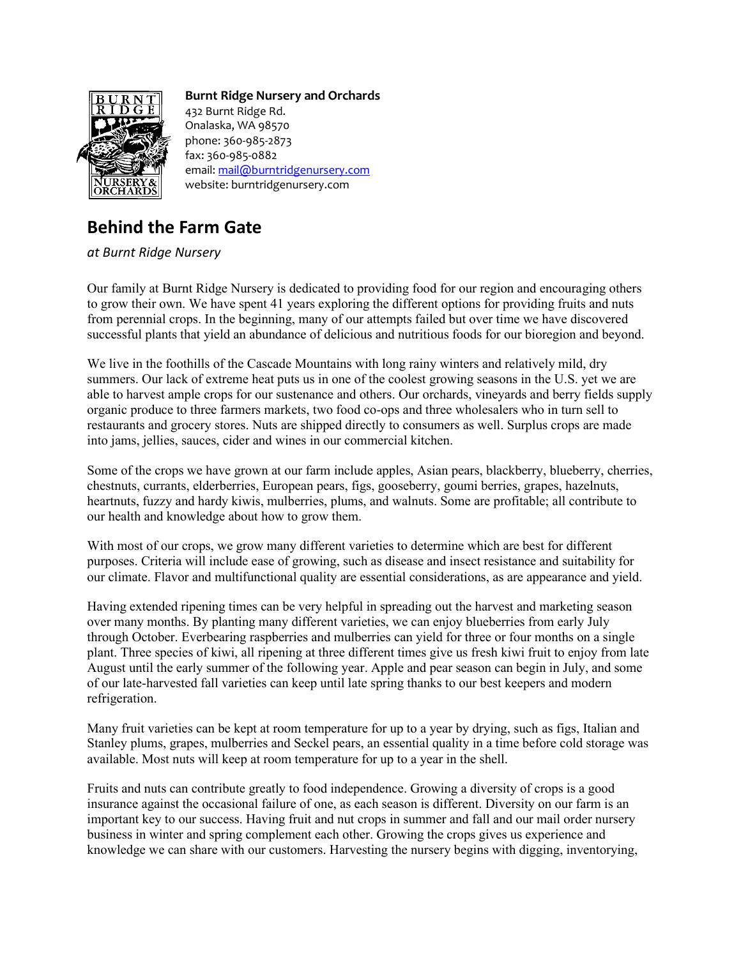

## **Burnt Ridge Nursery and Orchards**

432 Burnt Ridge Rd. Onalaska, WA 98570 phone: 360-985-2873 fax: 360-985-0882 email[: mail@burntridgenursery.com](mailto:mail@burntridgenursery.com) website: burntridgenursery.com

## **Behind the Farm Gate**

*at Burnt Ridge Nursery*

Our family at Burnt Ridge Nursery is dedicated to providing food for our region and encouraging others to grow their own. We have spent 41 years exploring the different options for providing fruits and nuts from perennial crops. In the beginning, many of our attempts failed but over time we have discovered successful plants that yield an abundance of delicious and nutritious foods for our bioregion and beyond.

We live in the foothills of the Cascade Mountains with long rainy winters and relatively mild, dry summers. Our lack of extreme heat puts us in one of the coolest growing seasons in the U.S. yet we are able to harvest ample crops for our sustenance and others. Our orchards, vineyards and berry fields supply organic produce to three farmers markets, two food co-ops and three wholesalers who in turn sell to restaurants and grocery stores. Nuts are shipped directly to consumers as well. Surplus crops are made into jams, jellies, sauces, cider and wines in our commercial kitchen.

Some of the crops we have grown at our farm include apples, Asian pears, blackberry, blueberry, cherries, chestnuts, currants, elderberries, European pears, figs, gooseberry, goumi berries, grapes, hazelnuts, heartnuts, fuzzy and hardy kiwis, mulberries, plums, and walnuts. Some are profitable; all contribute to our health and knowledge about how to grow them.

With most of our crops, we grow many different varieties to determine which are best for different purposes. Criteria will include ease of growing, such as disease and insect resistance and suitability for our climate. Flavor and multifunctional quality are essential considerations, as are appearance and yield.

Having extended ripening times can be very helpful in spreading out the harvest and marketing season over many months. By planting many different varieties, we can enjoy blueberries from early July through October. Everbearing raspberries and mulberries can yield for three or four months on a single plant. Three species of kiwi, all ripening at three different times give us fresh kiwi fruit to enjoy from late August until the early summer of the following year. Apple and pear season can begin in July, and some of our late-harvested fall varieties can keep until late spring thanks to our best keepers and modern refrigeration.

Many fruit varieties can be kept at room temperature for up to a year by drying, such as figs, Italian and Stanley plums, grapes, mulberries and Seckel pears, an essential quality in a time before cold storage was available. Most nuts will keep at room temperature for up to a year in the shell.

Fruits and nuts can contribute greatly to food independence. Growing a diversity of crops is a good insurance against the occasional failure of one, as each season is different. Diversity on our farm is an important key to our success. Having fruit and nut crops in summer and fall and our mail order nursery business in winter and spring complement each other. Growing the crops gives us experience and knowledge we can share with our customers. Harvesting the nursery begins with digging, inventorying,